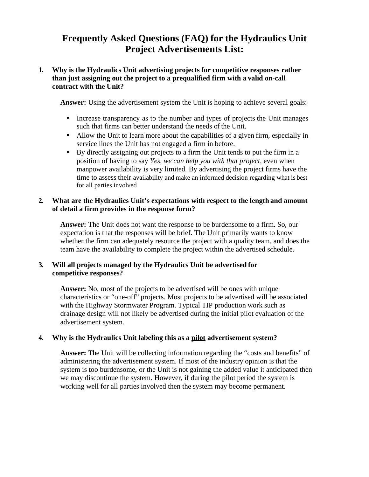# **Frequently Asked Questions (FAQ) for the Hydraulics Unit Project Advertisements List:**

## **1. Why is the Hydraulics Unit advertising projects for competitive responses rather than just assigning out the project to a prequalified firm with a valid on-call contract with the Unit?**

**Answer:** Using the advertisement system the Unit is hoping to achieve several goals:

- Increase transparency as to the number and types of projects the Unit manages such that firms can better understand the needs of the Unit.
- Allow the Unit to learn more about the capabilities of a given firm, especially in service lines the Unit has not engaged a firm in before.
- By directly assigning out projects to a firm the Unit tends to put the firm in a position of having to say *Yes, we can help you with that project*, even when manpower availability is very limited. By advertising the project firms have the time to assess their availability and make an informed decision regarding what is best for all parties involved

## **2. What are the Hydraulics Unit's expectations with respect to the length and amount of detail a firm provides in the response form?**

**Answer:** The Unit does not want the response to be burdensome to a firm. So, our expectation is that the responses will be brief. The Unit primarily wants to know whether the firm can adequately resource the project with a quality team, and does the team have the availability to complete the project within the advertised schedule.

## **3. Will all projects managed by the Hydraulics Unit be advertised for competitive responses?**

**Answer:** No, most of the projects to be advertised will be ones with unique characteristics or "one-off" projects. Most projects to be advertised will be associated with the Highway Stormwater Program. Typical TIP production work such as drainage design will not likely be advertised during the initial pilot evaluation of the advertisement system.

## **4. Why is the Hydraulics Unit labeling this as a pilot advertisement system?**

**Answer:** The Unit will be collecting information regarding the "costs and benefits" of administering the advertisement system. If most of the industry opinion is that the system is too burdensome, or the Unit is not gaining the added value it anticipated then we may discontinue the system. However, if during the pilot period the system is working well for all parties involved then the system may become permanent.